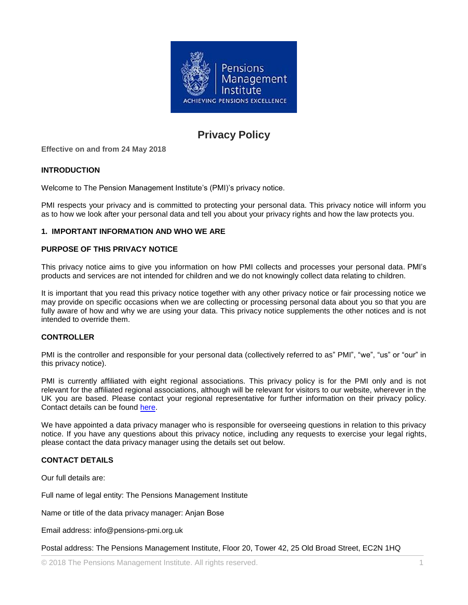

# **Privacy Policy**

**Effective on and from 24 May 2018** 

# **INTRODUCTION**

Welcome to The Pension Management Institute's (PMI)'s privacy notice.

PMI respects your privacy and is committed to protecting your personal data. This privacy notice will inform you as to how we look after your personal data and tell you about your privacy rights and how the law protects you.

### **1. IMPORTANT INFORMATION AND WHO WE ARE**

# **PURPOSE OF THIS PRIVACY NOTICE**

This privacy notice aims to give you information on how PMI collects and processes your personal data. PMI's products and services are not intended for children and we do not knowingly collect data relating to children.

It is important that you read this privacy notice together with any other privacy notice or fair processing notice we may provide on specific occasions when we are collecting or processing personal data about you so that you are fully aware of how and why we are using your data. This privacy notice supplements the other notices and is not intended to override them.

### **CONTROLLER**

PMI is the controller and responsible for your personal data (collectively referred to as" PMI", "we", "us" or "our" in this privacy notice).

PMI is currently affiliated with eight regional associations. This privacy policy is for the PMI only and is not relevant for the affiliated regional associations, although will be relevant for visitors to our website, wherever in the UK you are based. Please contact your regional representative for further information on their privacy policy. Contact details can be found [here.](https://www.pensions-pmi.org.uk/membership/regional-groups/)

We have appointed a data privacy manager who is responsible for overseeing questions in relation to this privacy notice. If you have any questions about this privacy notice, including any requests to exercise your legal rights, please contact the data privacy manager using the details set out below.

# **CONTACT DETAILS**

Our full details are:

Full name of legal entity: The Pensions Management Institute

Name or title of the data privacy manager: Anjan Bose

Email address: info@pensions-pmi.org.uk

Postal address: The Pensions Management Institute, Floor 20, Tower 42, 25 Old Broad Street, EC2N 1HQ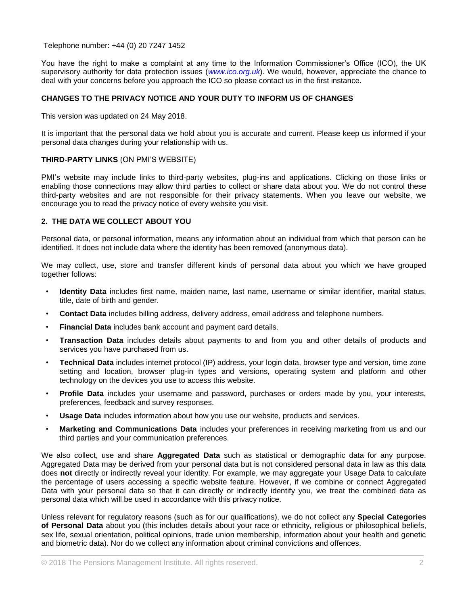Telephone number: +44 (0) 20 7247 1452

You have the right to make a complaint at any time to the Information Commissioner's Office (ICO), the UK supervisory authority for data protection issues (*[www.ico.org.uk](http://www.ico.org.uk/)*). We would, however, appreciate the chance to deal with your concerns before you approach the ICO so please contact us in the first instance.

# **CHANGES TO THE PRIVACY NOTICE AND YOUR DUTY TO INFORM US OF CHANGES**

This version was updated on 24 May 2018.

It is important that the personal data we hold about you is accurate and current. Please keep us informed if your personal data changes during your relationship with us.

# **THIRD-PARTY LINKS** (ON PMI'S WEBSITE)

PMI's website may include links to third-party websites, plug-ins and applications. Clicking on those links or enabling those connections may allow third parties to collect or share data about you. We do not control these third-party websites and are not responsible for their privacy statements. When you leave our website, we encourage you to read the privacy notice of every website you visit.

# **2. THE DATA WE COLLECT ABOUT YOU**

Personal data, or personal information, means any information about an individual from which that person can be identified. It does not include data where the identity has been removed (anonymous data).

We may collect, use, store and transfer different kinds of personal data about you which we have grouped together follows:

- **Identity Data** includes first name, maiden name, last name, username or similar identifier, marital status, title, date of birth and gender.
- **Contact Data** includes billing address, delivery address, email address and telephone numbers.
- **Financial Data** includes bank account and payment card details.
- **Transaction Data** includes details about payments to and from you and other details of products and services you have purchased from us.
- **Technical Data** includes internet protocol (IP) address, your login data, browser type and version, time zone setting and location, browser plug-in types and versions, operating system and platform and other technology on the devices you use to access this website.
- **Profile Data** includes your username and password, purchases or orders made by you, your interests, preferences, feedback and survey responses.
- **Usage Data** includes information about how you use our website, products and services.
- **Marketing and Communications Data** includes your preferences in receiving marketing from us and our third parties and your communication preferences.

We also collect, use and share **Aggregated Data** such as statistical or demographic data for any purpose. Aggregated Data may be derived from your personal data but is not considered personal data in law as this data does **not** directly or indirectly reveal your identity. For example, we may aggregate your Usage Data to calculate the percentage of users accessing a specific website feature. However, if we combine or connect Aggregated Data with your personal data so that it can directly or indirectly identify you, we treat the combined data as personal data which will be used in accordance with this privacy notice.

Unless relevant for regulatory reasons (such as for our qualifications), we do not collect any **Special Categories of Personal Data** about you (this includes details about your race or ethnicity, religious or philosophical beliefs, sex life, sexual orientation, political opinions, trade union membership, information about your health and genetic and biometric data). Nor do we collect any information about criminal convictions and offences.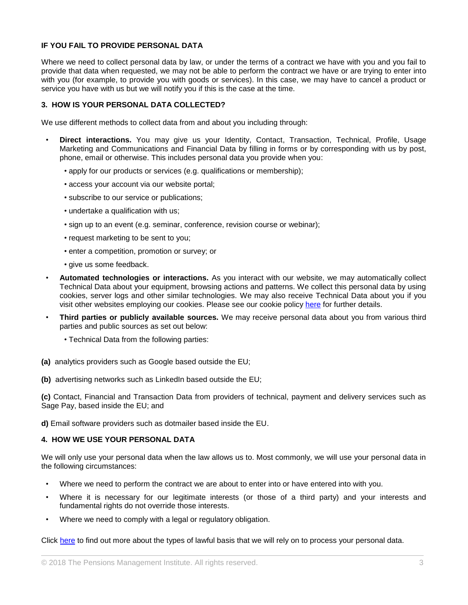# **IF YOU FAIL TO PROVIDE PERSONAL DATA**

Where we need to collect personal data by law, or under the terms of a contract we have with you and you fail to provide that data when requested, we may not be able to perform the contract we have or are trying to enter into with you (for example, to provide you with goods or services). In this case, we may have to cancel a product or service you have with us but we will notify you if this is the case at the time.

# **3. HOW IS YOUR PERSONAL DATA COLLECTED?**

We use different methods to collect data from and about you including through:

- **Direct interactions.** You may give us your Identity, Contact, Transaction, Technical, Profile, Usage Marketing and Communications and Financial Data by filling in forms or by corresponding with us by post, phone, email or otherwise. This includes personal data you provide when you:
	- apply for our products or services (e.g. qualifications or membership);
	- access your account via our website portal;
	- subscribe to our service or publications;
	- undertake a qualification with us;
	- sign up to an event (e.g. seminar, conference, revision course or webinar);
	- request marketing to be sent to you;
	- enter a competition, promotion or survey; or
	- give us some feedback.
- **Automated technologies or interactions.** As you interact with our website, we may automatically collect Technical Data about your equipment, browsing actions and patterns. We collect this personal data by using cookies, server logs and other similar technologies. We may also receive Technical Data about you if you visit other websites employing our cookies. Please see our cookie policy [here](https://www.pensions-pmi.org.uk/privacy/cookies/) for further details.
- **Third parties or publicly available sources.** We may receive personal data about you from various third parties and public sources as set out below:
	- Technical Data from the following parties:
- **(a)** analytics providers such as Google based outside the EU;
- **(b)** advertising networks such as LinkedIn based outside the EU;

**(c)** Contact, Financial and Transaction Data from providers of technical, payment and delivery services such as Sage Pay, based inside the EU; and

**d)** Email software providers such as dotmailer based inside the EU.

### **4. HOW WE USE YOUR PERSONAL DATA**

We will only use your personal data when the law allows us to. Most commonly, we will use your personal data in the following circumstances:

- Where we need to perform the contract we are about to enter into or have entered into with you.
- Where it is necessary for our legitimate interests (or those of a third party) and your interests and fundamental rights do not override those interests.
- Where we need to comply with a legal or regulatory obligation.

Click [here](https://ico.org.uk/for-organisations/guide-to-the-general-data-protection-regulation-gdpr/lawful-basis-for-processing/) to find out more about the types of lawful basis that we will rely on to process your personal data.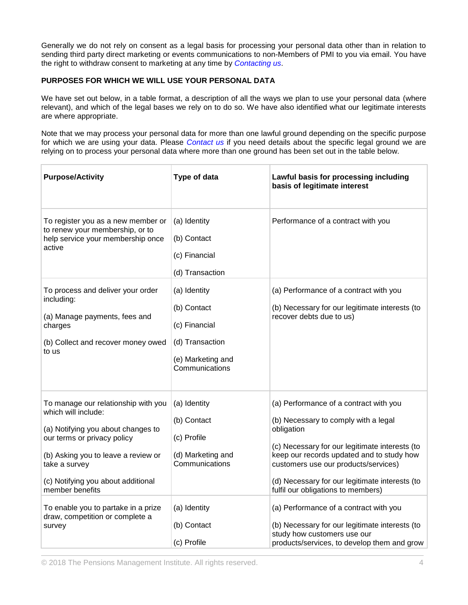Generally we do not rely on consent as a legal basis for processing your personal data other than in relation to sending third party direct marketing or events communications to non-Members of PMI to you via email. You have the right to withdraw consent to marketing at any time by *Contacting us*.

# **PURPOSES FOR WHICH WE WILL USE YOUR PERSONAL DATA**

We have set out below, in a table format, a description of all the ways we plan to use your personal data (where relevant), and which of the legal bases we rely on to do so. We have also identified what our legitimate interests are where appropriate.

Note that we may process your personal data for more than one lawful ground depending on the specific purpose for which we are using your data. Please *Contact us* if you need details about the specific legal ground we are relying on to process your personal data where more than one ground has been set out in the table below.

| <b>Purpose/Activity</b>                                                                                                                                                                                                                          | Type of data                                                                                           | Lawful basis for processing including<br>basis of legitimate interest                                                                                                                                                                                                                                                       |
|--------------------------------------------------------------------------------------------------------------------------------------------------------------------------------------------------------------------------------------------------|--------------------------------------------------------------------------------------------------------|-----------------------------------------------------------------------------------------------------------------------------------------------------------------------------------------------------------------------------------------------------------------------------------------------------------------------------|
| To register you as a new member or<br>to renew your membership, or to<br>help service your membership once<br>active                                                                                                                             | (a) Identity<br>(b) Contact<br>(c) Financial<br>(d) Transaction                                        | Performance of a contract with you                                                                                                                                                                                                                                                                                          |
| To process and deliver your order<br>including:<br>(a) Manage payments, fees and<br>charges<br>(b) Collect and recover money owed<br>to us                                                                                                       | (a) Identity<br>(b) Contact<br>(c) Financial<br>(d) Transaction<br>(e) Marketing and<br>Communications | (a) Performance of a contract with you<br>(b) Necessary for our legitimate interests (to<br>recover debts due to us)                                                                                                                                                                                                        |
| To manage our relationship with you<br>which will include:<br>(a) Notifying you about changes to<br>our terms or privacy policy<br>(b) Asking you to leave a review or<br>take a survey<br>(c) Notifying you about additional<br>member benefits | (a) Identity<br>(b) Contact<br>(c) Profile<br>(d) Marketing and<br>Communications                      | (a) Performance of a contract with you<br>(b) Necessary to comply with a legal<br>obligation<br>(c) Necessary for our legitimate interests (to<br>keep our records updated and to study how<br>customers use our products/services)<br>(d) Necessary for our legitimate interests (to<br>fulfil our obligations to members) |
| To enable you to partake in a prize<br>draw, competition or complete a<br>survey                                                                                                                                                                 | (a) Identity<br>(b) Contact<br>(c) Profile                                                             | (a) Performance of a contract with you<br>(b) Necessary for our legitimate interests (to<br>study how customers use our<br>products/services, to develop them and grow                                                                                                                                                      |

© 2018 The Pensions Management Institute. All rights reserved. 4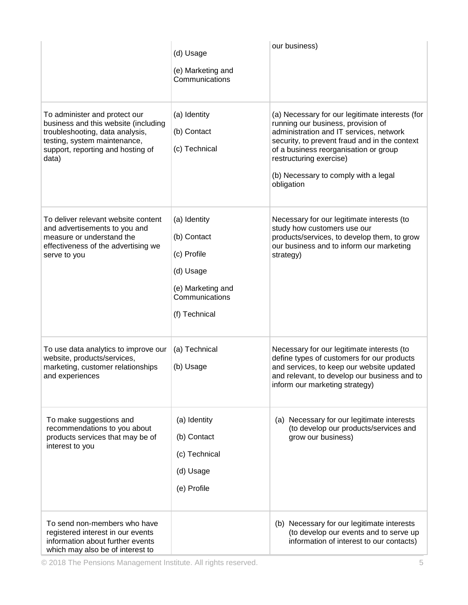|                                                                                                                                                                                        | (d) Usage<br>(e) Marketing and<br>Communications                                                                | our business)                                                                                                                                                                                                                                                                                               |
|----------------------------------------------------------------------------------------------------------------------------------------------------------------------------------------|-----------------------------------------------------------------------------------------------------------------|-------------------------------------------------------------------------------------------------------------------------------------------------------------------------------------------------------------------------------------------------------------------------------------------------------------|
| To administer and protect our<br>business and this website (including<br>troubleshooting, data analysis,<br>testing, system maintenance,<br>support, reporting and hosting of<br>data) | (a) Identity<br>(b) Contact<br>(c) Technical                                                                    | (a) Necessary for our legitimate interests (for<br>running our business, provision of<br>administration and IT services, network<br>security, to prevent fraud and in the context<br>of a business reorganisation or group<br>restructuring exercise)<br>(b) Necessary to comply with a legal<br>obligation |
| To deliver relevant website content<br>and advertisements to you and<br>measure or understand the<br>effectiveness of the advertising we<br>serve to you                               | (a) Identity<br>(b) Contact<br>(c) Profile<br>(d) Usage<br>(e) Marketing and<br>Communications<br>(f) Technical | Necessary for our legitimate interests (to<br>study how customers use our<br>products/services, to develop them, to grow<br>our business and to inform our marketing<br>strategy)                                                                                                                           |
| To use data analytics to improve our<br>website, products/services,<br>marketing, customer relationships<br>and experiences                                                            | (a) Technical<br>(b) Usage                                                                                      | Necessary for our legitimate interests (to<br>define types of customers for our products<br>and services, to keep our website updated<br>and relevant, to develop our business and to<br>inform our marketing strategy)                                                                                     |
| To make suggestions and<br>recommendations to you about<br>products services that may be of<br>interest to you                                                                         | (a) Identity<br>(b) Contact<br>(c) Technical<br>(d) Usage<br>(e) Profile                                        | (a) Necessary for our legitimate interests<br>(to develop our products/services and<br>grow our business)                                                                                                                                                                                                   |
| To send non-members who have<br>registered interest in our events<br>information about further events<br>which may also be of interest to                                              |                                                                                                                 | (b) Necessary for our legitimate interests<br>(to develop our events and to serve up<br>information of interest to our contacts)                                                                                                                                                                            |

© 2018 The Pensions Management Institute. All rights reserved. 5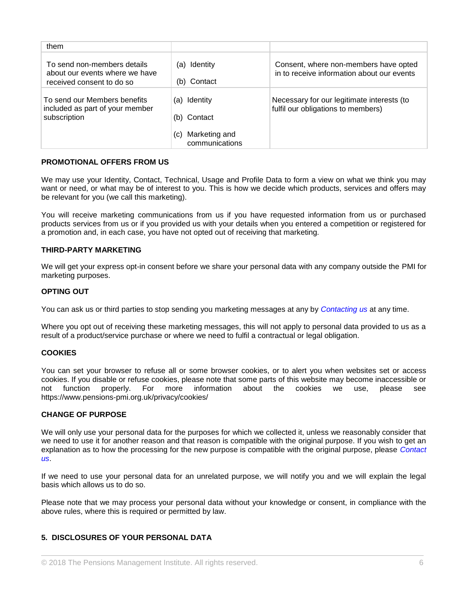| them                                                                                       |                                                                       |                                                                                     |
|--------------------------------------------------------------------------------------------|-----------------------------------------------------------------------|-------------------------------------------------------------------------------------|
| To send non-members details<br>about our events where we have<br>received consent to do so | (a) Identity<br>(b) Contact                                           | Consent, where non-members have opted<br>in to receive information about our events |
| To send our Members benefits<br>included as part of your member<br>subscription            | (a) Identity<br>(b) Contact<br>Marketing and<br>(c)<br>communications | Necessary for our legitimate interests (to<br>fulfil our obligations to members)    |

### **PROMOTIONAL OFFERS FROM US**

We may use your Identity, Contact, Technical, Usage and Profile Data to form a view on what we think you may want or need, or what may be of interest to you. This is how we decide which products, services and offers may be relevant for you (we call this marketing).

You will receive marketing communications from us if you have requested information from us or purchased products services from us or if you provided us with your details when you entered a competition or registered for a promotion and, in each case, you have not opted out of receiving that marketing.

### **THIRD-PARTY MARKETING**

We will get your express opt-in consent before we share your personal data with any company outside the PMI for marketing purposes.

# **OPTING OUT**

You can ask us or third parties to stop sending you marketing messages at any by *Contacting us* at any time.

Where you opt out of receiving these marketing messages, this will not apply to personal data provided to us as a result of a product/service purchase or where we need to fulfil a contractual or legal obligation.

### **COOKIES**

You can set your browser to refuse all or some browser cookies, or to alert you when websites set or access cookies. If you disable or refuse cookies, please note that some parts of this website may become inaccessible or not function properly. For more information about the cookies we use, please see https://www.pensions-pmi.org.uk/privacy/cookies/

### **CHANGE OF PURPOSE**

We will only use your personal data for the purposes for which we collected it, unless we reasonably consider that we need to use it for another reason and that reason is compatible with the original purpose. If you wish to get an explanation as to how the processing for the new purpose is compatible with the original purpose, please *Contact us*.

If we need to use your personal data for an unrelated purpose, we will notify you and we will explain the legal basis which allows us to do so.

Please note that we may process your personal data without your knowledge or consent, in compliance with the above rules, where this is required or permitted by law.

# **5. DISCLOSURES OF YOUR PERSONAL DATA**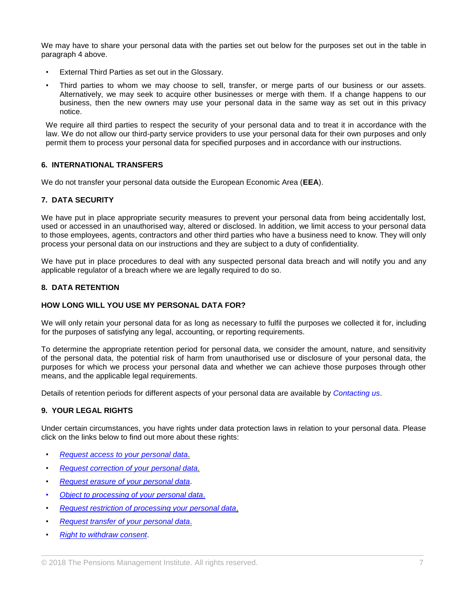We may have to share your personal data with the parties set out below for the purposes set out in the table in paragraph 4 above.

- External Third Parties as set out in the Glossary.
- Third parties to whom we may choose to sell, transfer, or merge parts of our business or our assets. Alternatively, we may seek to acquire other businesses or merge with them. If a change happens to our business, then the new owners may use your personal data in the same way as set out in this privacy notice.

We require all third parties to respect the security of your personal data and to treat it in accordance with the law. We do not allow our third-party service providers to use your personal data for their own purposes and only permit them to process your personal data for specified purposes and in accordance with our instructions.

# **6. INTERNATIONAL TRANSFERS**

We do not transfer your personal data outside the European Economic Area (**EEA**).

# **7. DATA SECURITY**

We have put in place appropriate security measures to prevent your personal data from being accidentally lost, used or accessed in an unauthorised way, altered or disclosed. In addition, we limit access to your personal data to those employees, agents, contractors and other third parties who have a business need to know. They will only process your personal data on our instructions and they are subject to a duty of confidentiality.

We have put in place procedures to deal with any suspected personal data breach and will notify you and any applicable regulator of a breach where we are legally required to do so.

# **8. DATA RETENTION**

### **HOW LONG WILL YOU USE MY PERSONAL DATA FOR?**

We will only retain your personal data for as long as necessary to fulfil the purposes we collected it for, including for the purposes of satisfying any legal, accounting, or reporting requirements.

To determine the appropriate retention period for personal data, we consider the amount, nature, and sensitivity of the personal data, the potential risk of harm from unauthorised use or disclosure of your personal data, the purposes for which we process your personal data and whether we can achieve those purposes through other means, and the applicable legal requirements.

Details of retention periods for different aspects of your personal data are available by *Contacting us*.

# **9. YOUR LEGAL RIGHTS**

Under certain circumstances, you have rights under data protection laws in relation to your personal data. Please click on the links below to find out more about these rights:

- *[Request access to your personal data](https://ico.org.uk/for-organisations/guide-to-the-general-data-protection-regulation-gdpr/individual-rights/right-of-access/)*.
- *[Request correction of your personal data](https://ico.org.uk/for-organisations/guide-to-the-general-data-protection-regulation-gdpr/individual-rights/right-to-rectification/)*.
- *[Request erasure of your personal data](https://ico.org.uk/for-organisations/guide-to-the-general-data-protection-regulation-gdpr/individual-rights/right-to-erasure/)*.
- *[Object to processing of your personal data](https://ico.org.uk/for-organisations/guide-to-the-general-data-protection-regulation-gdpr/individual-rights/right-to-object/)*.
- *[Request restriction of processing your personal data](https://ico.org.uk/for-organisations/guide-to-the-general-data-protection-regulation-gdpr/individual-rights/right-to-restrict-processing/)*.
- *[Request transfer of your personal data](https://ico.org.uk/for-organisations/guide-to-the-general-data-protection-regulation-gdpr/individual-rights/right-to-data-portability/)*.
- *[Right to withdraw consent](https://ico.org.uk/for-organisations/guide-to-the-general-data-protection-regulation-gdpr/lawful-basis-for-processing/consent/)*.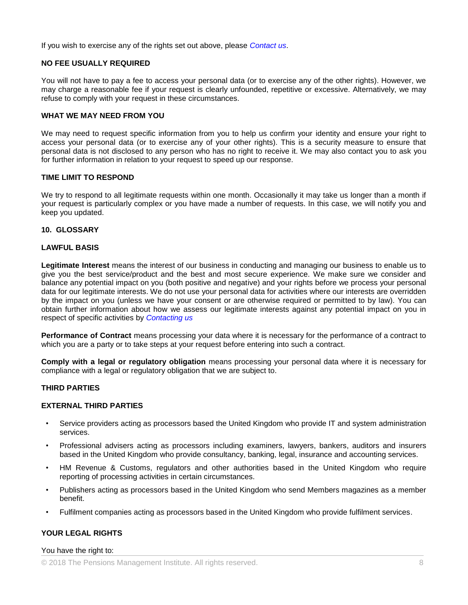If you wish to exercise any of the rights set out above, please *Contact us*.

# **NO FEE USUALLY REQUIRED**

You will not have to pay a fee to access your personal data (or to exercise any of the other rights). However, we may charge a reasonable fee if your request is clearly unfounded, repetitive or excessive. Alternatively, we may refuse to comply with your request in these circumstances.

### **WHAT WE MAY NEED FROM YOU**

We may need to request specific information from you to help us confirm your identity and ensure your right to access your personal data (or to exercise any of your other rights). This is a security measure to ensure that personal data is not disclosed to any person who has no right to receive it. We may also contact you to ask you for further information in relation to your request to speed up our response.

### **TIME LIMIT TO RESPOND**

We try to respond to all legitimate requests within one month. Occasionally it may take us longer than a month if your request is particularly complex or you have made a number of requests. In this case, we will notify you and keep you updated.

### **10. GLOSSARY**

# **LAWFUL BASIS**

**Legitimate Interest** means the interest of our business in conducting and managing our business to enable us to give you the best service/product and the best and most secure experience. We make sure we consider and balance any potential impact on you (both positive and negative) and your rights before we process your personal data for our legitimate interests. We do not use your personal data for activities where our interests are overridden by the impact on you (unless we have your consent or are otherwise required or permitted to by law). You can obtain further information about how we assess our legitimate interests against any potential impact on you in respect of specific activities by *Contacting us*

**Performance of Contract** means processing your data where it is necessary for the performance of a contract to which you are a party or to take steps at your request before entering into such a contract.

**Comply with a legal or regulatory obligation** means processing your personal data where it is necessary for compliance with a legal or regulatory obligation that we are subject to.

# **THIRD PARTIES**

### **EXTERNAL THIRD PARTIES**

- Service providers acting as processors based the United Kingdom who provide IT and system administration services.
- Professional advisers acting as processors including examiners, lawyers, bankers, auditors and insurers based in the United Kingdom who provide consultancy, banking, legal, insurance and accounting services.
- HM Revenue & Customs, regulators and other authorities based in the United Kingdom who require reporting of processing activities in certain circumstances.
- Publishers acting as processors based in the United Kingdom who send Members magazines as a member benefit.
- Fulfilment companies acting as processors based in the United Kingdom who provide fulfilment services.

# **YOUR LEGAL RIGHTS**

### You have the right to: